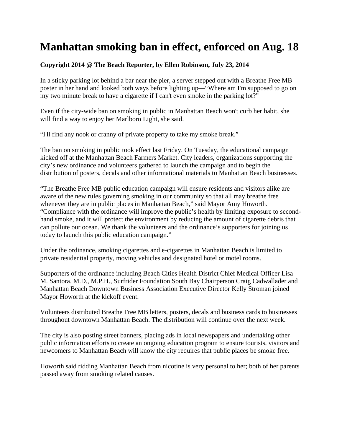## **Manhattan smoking ban in effect, enforced on Aug. 18**

## **Copyright 2014 @ The Beach Reporter, by Ellen Robinson, July 23, 2014**

In a sticky parking lot behind a bar near the pier, a server stepped out with a Breathe Free MB poster in her hand and looked both ways before lighting up—"Where am I'm supposed to go on my two minute break to have a cigarette if I can't even smoke in the parking lot?"

Even if the city-wide ban on smoking in public in Manhattan Beach won't curb her habit, she will find a way to enjoy her Marlboro Light, she said.

"I'll find any nook or cranny of private property to take my smoke break."

The ban on smoking in public took effect last Friday. On Tuesday, the educational campaign kicked off at the Manhattan Beach Farmers Market. City leaders, organizations supporting the city's new ordinance and volunteers gathered to launch the campaign and to begin the distribution of posters, decals and other informational materials to Manhattan Beach businesses.

"The Breathe Free MB public education campaign will ensure residents and visitors alike are aware of the new rules governing smoking in our community so that all may breathe free whenever they are in public places in Manhattan Beach," said Mayor Amy Howorth. "Compliance with the ordinance will improve the public's health by limiting exposure to secondhand smoke, and it will protect the environment by reducing the amount of cigarette debris that can pollute our ocean. We thank the volunteers and the ordinance's supporters for joining us today to launch this public education campaign."

Under the ordinance, smoking cigarettes and e-cigarettes in Manhattan Beach is limited to private residential property, moving vehicles and designated hotel or motel rooms.

Supporters of the ordinance including Beach Cities Health District Chief Medical Officer Lisa M. Santora, M.D., M.P.H., Surfrider Foundation South Bay Chairperson Craig Cadwallader and Manhattan Beach Downtown Business Association Executive Director Kelly Stroman joined Mayor Howorth at the kickoff event.

Volunteers distributed Breathe Free MB letters, posters, decals and business cards to businesses throughout downtown Manhattan Beach. The distribution will continue over the next week.

The city is also posting street banners, placing ads in local newspapers and undertaking other public information efforts to create an ongoing education program to ensure tourists, visitors and newcomers to Manhattan Beach will know the city requires that public places be smoke free.

Howorth said ridding Manhattan Beach from nicotine is very personal to her; both of her parents passed away from smoking related causes.